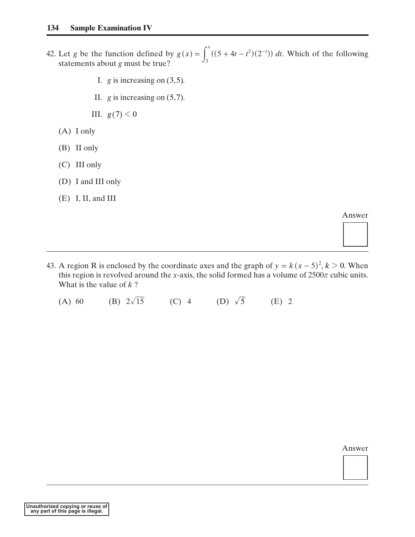- 42. Let *g* be the function defined by  $g(x) = \int ((5 + 4t t^2)(2^{-t})) dt$ . Which of the following statements about *g* must be true? *x*  $g(x) = \int_3^x ((5 + 4t - t^2)(2^{-t})) dt$ <br>5). 3  $=\int_3^x ((5+4t-t^2)(2^{-7}$  $f(x) = \int_3^x ((5 + 4t - t^2)(2^{-t}))$ <br>
.
	- I.  $g$  is increasing on  $(3, 5)$ .
	- II.  $g$  is increasing on  $(5, 7)$ .

III.  $g(7) < 0$ 

- (A) I only
- (B) II only
- (C) III only
- (D) I and III only
- (E) I, II, and III

Answer

43. A region R is enclosed by the coordinate axes and the graph of  $y = k(x - 5)^2$ ,  $k > 0$ . When this region is revolved around the *x*-axis, the solid formed has a volume of  $2500\pi$  cubic units. What is the value of *k* ? *y* =  $k(x - 5)^2$ <br> *z* olume of 2500  $k > 0$ 

(A) 60 (B)  $2\sqrt{15}$  (C) 4 (D)  $\sqrt{5}$  (E) 2 (D)  $\sqrt{5}$ 

Answer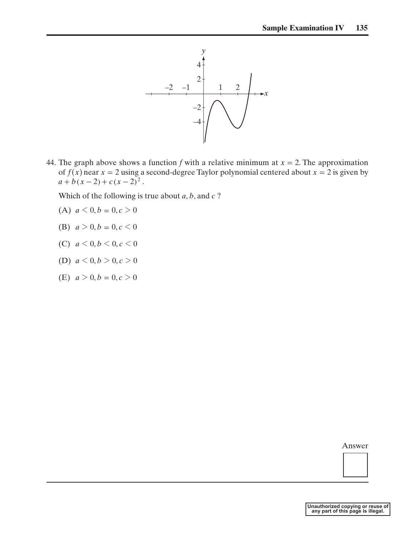

44. The graph above shows a function f with a relative minimum at  $x = 2$ . The approximation of  $f(x)$  near  $x = 2$  using a second-degree Taylor polynomial centered about  $x = 2$  is given by  $a + b(x-2) + c(x-2)^2$ . The graph above shows<br>
of  $f(x)$  near  $x = 2$  using<br>  $a + b(x - 2) + c(x - 2)^2$ <br>
Which of the following is<br>
(A)  $a < 0, b = 0, c > 0$ 

Which of the following is true about *a*, *b*, and *c* ?

- (A)  $a < 0, b = 0, c > 0$
- (B)  $a > 0, b = 0, c < 0$
- (C)  $a < 0, b < 0, c < 0$
- (D)  $a < 0, b > 0, c > 0$
- (E)  $a > 0, b = 0, c > 0$

Answer